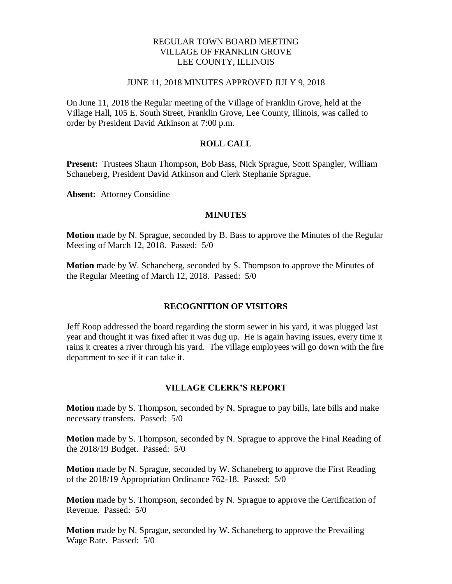## REGULAR TOWN BOARD MEETING VILLAGE OF FRANKLIN GROVE LEE COUNTY, ILLINOIS

#### JUNE 11, 2018 MINUTES APPROVED JULY 9, 2018

On June 11, 2018 the Regular meeting of the Village of Franklin Grove, held at the Village Hall, 105 E. South Street, Franklin Grove, Lee County, Illinois, was called to order by President David Atkinson at 7:00 p.m.

## **ROLL CALL**

**Present:** Trustees Shaun Thompson, Bob Bass, Nick Sprague, Scott Spangler, William Schaneberg, President David Atkinson and Clerk Stephanie Sprague.

**Absent:** Attorney Considine

## **MINUTES**

**Motion** made by N. Sprague, seconded by B. Bass to approve the Minutes of the Regular Meeting of March 12, 2018. Passed: 5/0

**Motion** made by W. Schaneberg, seconded by S. Thompson to approve the Minutes of the Regular Meeting of March 12, 2018. Passed: 5/0

### **RECOGNITION OF VISITORS**

Jeff Roop addressed the board regarding the storm sewer in his yard, it was plugged last year and thought it was fixed after it was dug up. He is again having issues, every time it rains it creates a river through his yard. The village employees will go down with the fire department to see if it can take it.

### **VILLAGE CLERK'S REPORT**

**Motion** made by S. Thompson, seconded by N. Sprague to pay bills, late bills and make necessary transfers. Passed: 5/0

**Motion** made by S. Thompson, seconded by N. Sprague to approve the Final Reading of the 2018/19 Budget. Passed: 5/0

**Motion** made by N. Sprague, seconded by W. Schaneberg to approve the First Reading of the 2018/19 Appropriation Ordinance 762-18. Passed: 5/0

**Motion** made by S. Thompson, seconded by N. Sprague to approve the Certification of Revenue. Passed: 5/0

**Motion** made by N. Sprague, seconded by W. Schaneberg to approve the Prevailing Wage Rate. Passed: 5/0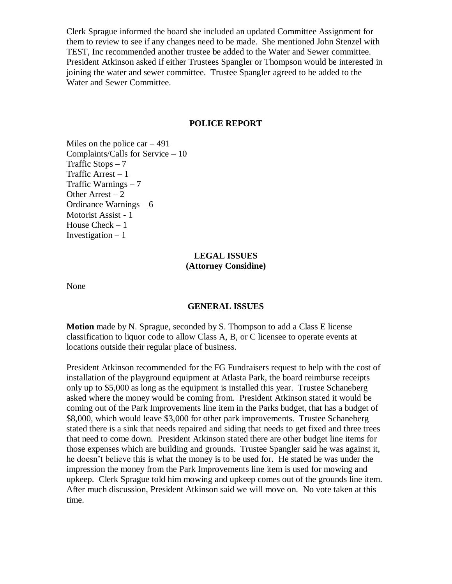Clerk Sprague informed the board she included an updated Committee Assignment for them to review to see if any changes need to be made. She mentioned John Stenzel with TEST, Inc recommended another trustee be added to the Water and Sewer committee. President Atkinson asked if either Trustees Spangler or Thompson would be interested in joining the water and sewer committee. Trustee Spangler agreed to be added to the Water and Sewer Committee.

#### **POLICE REPORT**

Miles on the police car  $-491$ Complaints/Calls for Service – 10 Traffic Stops – 7 Traffic Arrest  $-1$ Traffic Warnings – 7 Other Arrest  $-2$ Ordinance Warnings – 6 Motorist Assist - 1 House Check – 1 Investigation  $-1$ 

# **LEGAL ISSUES (Attorney Considine)**

None

#### **GENERAL ISSUES**

**Motion** made by N. Sprague, seconded by S. Thompson to add a Class E license classification to liquor code to allow Class A, B, or C licensee to operate events at locations outside their regular place of business.

President Atkinson recommended for the FG Fundraisers request to help with the cost of installation of the playground equipment at Atlasta Park, the board reimburse receipts only up to \$5,000 as long as the equipment is installed this year. Trustee Schaneberg asked where the money would be coming from. President Atkinson stated it would be coming out of the Park Improvements line item in the Parks budget, that has a budget of \$8,000, which would leave \$3,000 for other park improvements. Trustee Schaneberg stated there is a sink that needs repaired and siding that needs to get fixed and three trees that need to come down. President Atkinson stated there are other budget line items for those expenses which are building and grounds. Trustee Spangler said he was against it, he doesn't believe this is what the money is to be used for. He stated he was under the impression the money from the Park Improvements line item is used for mowing and upkeep. Clerk Sprague told him mowing and upkeep comes out of the grounds line item. After much discussion, President Atkinson said we will move on. No vote taken at this time.